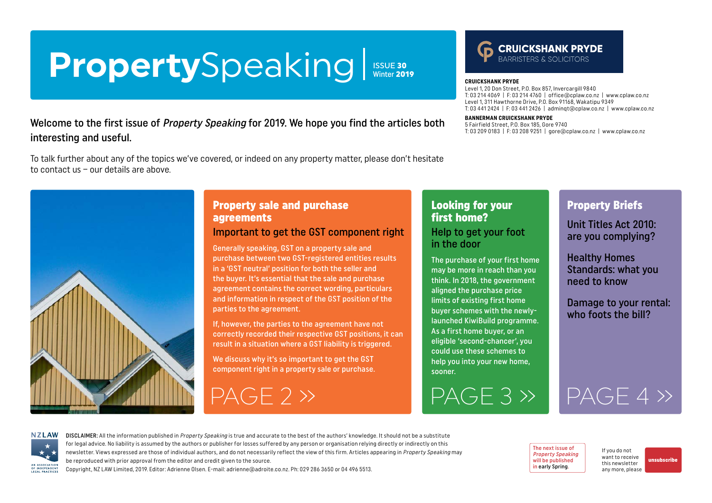# <span id="page-0-0"></span>PropertySpeaking

ISSUE 30<br>Winter 2019

## Welcome to the first issue of *Property Speaking* for 2019. We hope you find the articles both interesting and useful.

To talk further about any of the topics we've covered, or indeed on any property matter, please don't hesitate to contact us – our details are above.



# Property sale and purchase agreements

#### Important to get the GST component right

Generally speaking, GST on a property sale and purchase between two GST-registered entities results in a 'GST neutral' position for both the seller and the buyer. It's essential that the sale and purchase agreement contains the correct wording, particulars and information in respect of the GST position of the parties to the agreement.

If, however, the parties to the agreement have not correctly recorded their respective GST positions, it can result in a situation where a GST liability is triggered.

We discuss why it's so important to get the GST component right in a property sale or purchase.

[PAGE 2 »](#page-1-0)

### Looking for your first home? Help to get your foot in the door

**CRUICKSHANK PRYDE**

**BANNERMAN CRUICKSHANK PRYDE** 5 Fairfield Street, P.O. Box 185, Gore 9740

Level 1, 20 Don Street, P.O. Box 857, Invercargill 9840

Level 1, 311 Hawthorne Drive, P.O. Box 91168, Wakatipu 9349

T: 03 214 4069 | F: 03 214 4760 | office@cplaw.co.nz | www.cplaw.co.nz

**CRUICKSHANK PRYDE** 

T: 03 209 0183 | F: 03 208 9251 | gore@cplaw.co.nz | www.cplaw.co.nz

T: 03 441 2424 | F: 03 441 2426 | adminqt@cplaw.co.nz | www.cplaw.co.nz

The purchase of your first home may be more in reach than you think. In 2018, the government aligned the purchase price limits of existing first home buyer schemes with the newlylaunched KiwiBuild programme. As a first home buyer, or an eligible 'second-chancer', you could use these schemes to help you into your new home, sooner.

 $PAGE 3 > PAGE 4 >$ 

## Property Briefs

Unit Titles Act 2010: are you complying?

Healthy Homes Standards: what you need to know

Damage to your rental: who foots the bill?

**NZLAW** AN ASSOCIATION OF INDEPENDENT LEGAL PRACTICE

DISCLAIMER: All the information published in Property Speaking is true and accurate to the best of the authors' knowledge. It should not be a substitute for legal advice. No liability is assumed by the authors or publisher for losses suffered by any person or organisation relying directly or indirectly on this newsletter. Views expressed are those of individual authors, and do not necessarily reflect the view of this firm. Articles appearing in Property Speaking may be reproduced with prior approval from the editor and credit given to the source.

Copyright, NZ LAW Limited, 2019. Editor: Adrienne Olsen. [E-mail: adrienne@adroite.co.nz](mailto:adrienne@adroite.co.nz). Ph: 029 286 3650 or 04 496 5513.

The next issue of Property Speaking will be published in early Spring.

If you do not want to receive this newsletter any more, please

[unsubscribe](mailto:adrienne%40adroite.co.nz?subject=Property%20Speaking%20-%20unsubscribe%20me%20please)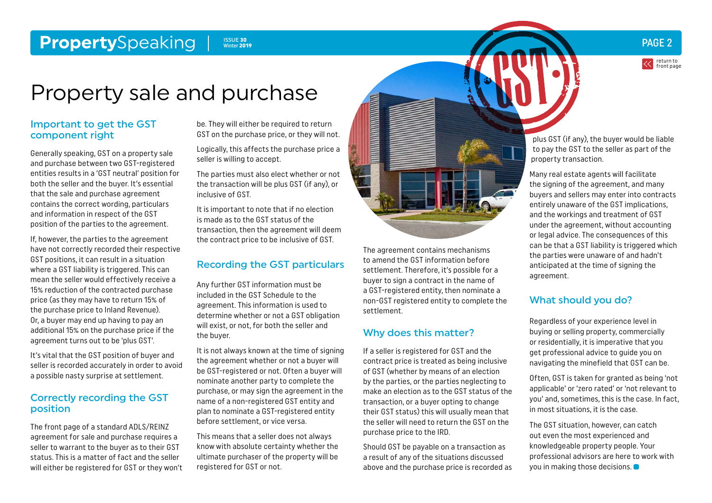#### <span id="page-1-0"></span>**Property**Speaking Power 2 ISSUE 30 ISSUE 30 ISSUE 30 ISSUE 30 ISSUE 30 ISSUE 2013 Winter 2019

# Property sale and purchase

#### Important to get the GST component right

Generally speaking, GST on a property sale and purchase between two GST-registered entities results in a 'GST neutral' position for both the seller and the buyer. It's essential that the sale and purchase agreement contains the correct wording, particulars and information in respect of the GST position of the parties to the agreement.

If, however, the parties to the agreement have not correctly recorded their respective GST positions, it can result in a situation where a GST liability is triggered. This can mean the seller would effectively receive a 15% reduction of the contracted purchase price (as they may have to return 15% of the purchase price to Inland Revenue). Or, a buyer may end up having to pay an additional 15% on the purchase price if the agreement turns out to be 'plus GST'.

It's vital that the GST position of buyer and seller is recorded accurately in order to avoid a possible nasty surprise at settlement.

#### Correctly recording the GST position

The front page of a standard ADLS/REINZ agreement for sale and purchase requires a seller to warrant to the buyer as to their GST status. This is a matter of fact and the seller will either be registered for GST or they won't be. They will either be required to return GST on the purchase price, or they will not.

Logically, this affects the purchase price a seller is willing to accept.

The parties must also elect whether or not the transaction will be plus GST (if any), or inclusive of GST.

It is important to note that if no election is made as to the GST status of the transaction, then the agreement will deem the contract price to be inclusive of GST.

#### Recording the GST particulars

Any further GST information must be included in the GST Schedule to the agreement. This information is used to determine whether or not a GST obligation will exist, or not, for both the seller and the buyer.

It is not always known at the time of signing the agreement whether or not a buyer will be GST-registered or not. Often a buyer will nominate another party to complete the purchase, or may sign the agreement in the name of a non-registered GST entity and plan to nominate a GST-registered entity before settlement, or vice versa.

This means that a seller does not always know with absolute certainty whether the ultimate purchaser of the property will be registered for GST or not.



The agreement contains mechanisms to amend the GST information before settlement. Therefore, it's possible for a buyer to sign a contract in the name of a GST-registered entity, then nominate a non-GST registered entity to complete the settlement.

#### Why does this matter?

If a seller is registered for GST and the contract price is treated as being inclusive of GST (whether by means of an election by the parties, or the parties neglecting to make an election as to the GST status of the transaction, or a buyer opting to change their GST status) this will usually mean that the seller will need to return the GST on the purchase price to the IRD.

Should GST be payable on a transaction as a result of any of the situations discussed above and the purchase price is recorded as

plus GST (if any), the buyer would be liable to pay the GST to the seller as part of the property transaction.

return to [front page](#page-0-0)

Many real estate agents will facilitate the signing of the agreement, and many buyers and sellers may enter into contracts entirely unaware of the GST implications, and the workings and treatment of GST under the agreement, without accounting or legal advice. The consequences of this can be that a GST liability is triggered which the parties were unaware of and hadn't anticipated at the time of signing the agreement.

### What should you do?

Regardless of your experience level in buying or selling property, commercially or residentially, it is imperative that you get professional advice to guide you on navigating the minefield that GST can be.

Often, GST is taken for granted as being 'not applicable' or 'zero rated' or 'not relevant to you' and, sometimes, this is the case. In fact, in most situations, it is the case.

The GST situation, however, can catch out even the most experienced and knowledgeable property people. Your professional advisors are here to work with you in making those decisions.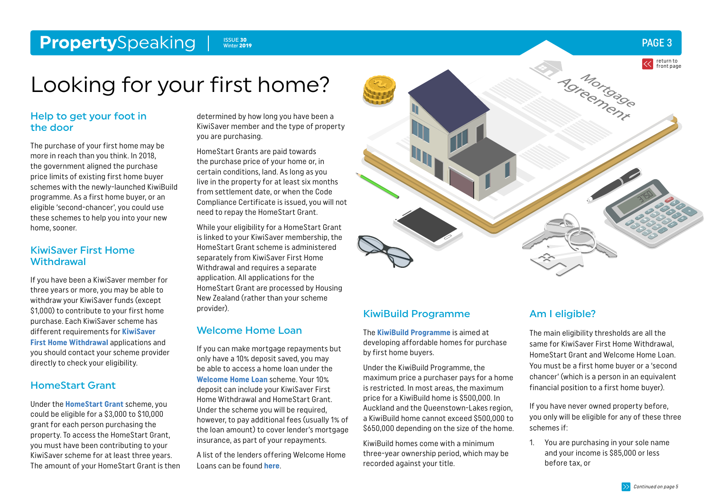#### <span id="page-2-0"></span>**Property**Speaking ISSUE 30<br>Winter 2019

### PAGE 3

# Looking for your first home?

#### Help to get your foot in the door

The purchase of your first home may be more in reach than you think. In 2018, the government aligned the purchase price limits of existing first home buyer schemes with the newly-launched KiwiBuild programme. As a first home buyer, or an eligible 'second-chancer', you could use these schemes to help you into your new home, sooner.

#### KiwiSaver First Home **Withdrawal**

If you have been a KiwiSaver member for three years or more, you may be able to withdraw your KiwiSaver funds (except \$1,000) to contribute to your first home purchase. Each KiwiSaver scheme has different requirements for **[KiwiSaver](https://www.kiwisaver.govt.nz/new/benefits/home-withdrawl/)  [First Home Withdrawal](https://www.kiwisaver.govt.nz/new/benefits/home-withdrawl/)** applications and you should contact your scheme provider directly to check your eligibility.

### HomeStart Grant

Under the **[HomeStart Grant](https://www.hnzc.co.nz/ways-we-can-help-you-to-own-a-home/kiwisaver-homestart-grant/)** scheme, you could be eligible for a \$3,000 to \$10,000 grant for each person purchasing the property. To access the HomeStart Grant, you must have been contributing to your KiwiSaver scheme for at least three years. The amount of your HomeStart Grant is then

determined by how long you have been a KiwiSaver member and the type of property you are purchasing.

HomeStart Grants are paid towards the purchase price of your home or, in certain conditions, land. As long as you live in the property for at least six months from settlement date, or when the Code Compliance Certificate is issued, you will not need to repay the HomeStart Grant.

While your eligibility for a HomeStart Grant is linked to your KiwiSaver membership, the HomeStart Grant scheme is administered separately from KiwiSaver First Home Withdrawal and requires a separate application. All applications for the HomeStart Grant are processed by Housing New Zealand (rather than your scheme provider).

#### Welcome Home Loan

If you can make mortgage repayments but only have a 10% deposit saved, you may be able to access a home loan under the **[Welcome Home Loan](https://www.welcomehomeloan.co.nz/)** scheme. Your 10% deposit can include your KiwiSaver First Home Withdrawal and HomeStart Grant. Under the scheme you will be required, however, to pay additional fees (usually 1% of the loan amount) to cover lender's mortgage insurance, as part of your repayments.

A list of the lenders offering Welcome Home Loans can be found **[here](https://www.welcomehomeloan.co.nz/lenders.php)**.



#### KiwiBuild Programme

The **[KiwiBuild Programme](http://www.kiwibuild.govt.nz)** is aimed at developing affordable homes for purchase by first home buyers.

Under the KiwiBuild Programme, the maximum price a purchaser pays for a home is restricted. In most areas, the maximum price for a KiwiBuild home is \$500,000. In Auckland and the Queenstown-Lakes region, a KiwiBuild home cannot exceed \$500,000 to \$650,000 depending on the size of the home.

KiwiBuild homes come with a minimum three-year ownership period, which may be recorded against your title.

### Am I eligible?

The main eligibility thresholds are all the same for KiwiSaver First Home Withdrawal, HomeStart Grant and Welcome Home Loan. You must be a first home buyer or a 'second chancer' (which is a person in an equivalent financial position to a first home buyer).

If you have never owned property before, you only will be eligible for any of these three schemes if:

1. You are purchasing in your sole name and your income is \$85,000 or less before tax, or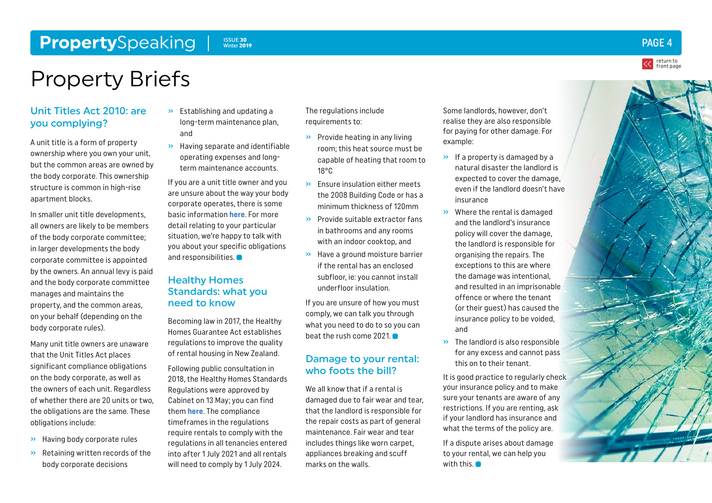#### <span id="page-3-0"></span>**Property**Speaking Issue 30 Winter 2019

# Property Briefs

#### Unit Titles Act 2010: are you complying?

A unit title is a form of property ownership where you own your unit, but the common areas are owned by the body corporate. This ownership structure is common in high-rise apartment blocks.

In smaller unit title developments, all owners are likely to be members of the body corporate committee; in larger developments the body corporate committee is appointed by the owners. An annual levy is paid and the body corporate committee manages and maintains the property, and the common areas, on your behalf (depending on the body corporate rules).

Many unit title owners are unaware that the Unit Titles Act places significant compliance obligations on the body corporate, as well as the owners of each unit. Regardless of whether there are 20 units or two, the obligations are the same. These obligations include:

- » Having body corporate rules
- » Retaining written records of the body corporate decisions
- » Establishing and updating a long-term maintenance plan, and
- » Having separate and identifiable operating expenses and longterm maintenance accounts.

If you are a unit title owner and you are unsure about the way your body corporate operates, there is some basic information **[here](https://www.tenancy.govt.nz/uta/about-unit-titles/)**. For more detail relating to your particular situation, we're happy to talk with you about your specific obligations and responsibilities.<sup>•</sup>

#### Healthy Homes Standards: what you need to know

Becoming law in 2017, the Healthy Homes Guarantee Act establishes regulations to improve the quality of rental housing in New Zealand.

Following public consultation in 2018, the Healthy Homes Standards Regulations were approved by Cabinet on 13 May; you can find them **[here](https://www.hud.govt.nz/residential-housing/healthy-rental-homes/healthy-homes-standards/)**. The compliance timeframes in the regulations require rentals to comply with the regulations in all tenancies entered into after 1 July 2021 and all rentals will need to comply by 1 July 2024.

The regulations include requirements to:

- » Provide heating in any living room; this heat source must be capable of heating that room to 18°C
- » Ensure insulation either meets the 2008 Building Code or has a minimum thickness of 120mm
- » Provide suitable extractor fans in bathrooms and any rooms with an indoor cooktop, and
- » Have a ground moisture barrier if the rental has an enclosed subfloor, ie: you cannot install underfloor insulation.

If you are unsure of how you must comply, we can talk you through what you need to do to so you can beat the rush come 2021.

#### Damage to your rental: who foots the bill?

We all know that if a rental is damaged due to fair wear and tear, that the landlord is responsible for the repair costs as part of general maintenance. Fair wear and tear includes things like worn carpet, appliances breaking and scuff marks on the walls.

Some landlords, however, don't realise they are also responsible for paying for other damage. For example:

- » If a property is damaged by a natural disaster the landlord is expected to cover the damage, even if the landlord doesn't have insurance
- » Where the rental is damaged and the landlord's insurance policy will cover the damage, the landlord is responsible for organising the repairs. The exceptions to this are where the damage was intentional, and resulted in an imprisonable offence or where the tenant (or their guest) has caused the insurance policy to be voided, and
- » The landlord is also responsible for any excess and cannot pass this on to their tenant.

It is good practice to regularly check your insurance policy and to make sure your tenants are aware of any restrictions. If you are renting, ask if your landlord has insurance and what the terms of the policy are.

If a dispute arises about damage to your rental, we can help you with this.<sup>1</sup>





return to [front page](#page-0-0)